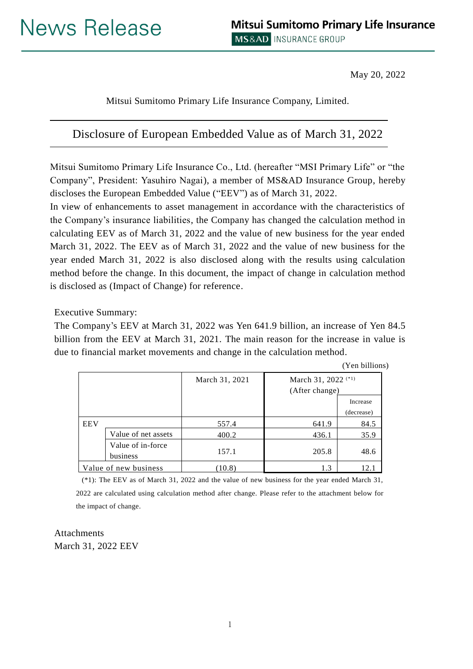May 20, 2022

Mitsui Sumitomo Primary Life Insurance Company, Limited.

# Disclosure of European Embedded Value as of March 31, 2022

Mitsui Sumitomo Primary Life Insurance Co., Ltd. (hereafter "MSI Primary Life" or "the Company", President: Yasuhiro Nagai), a member of MS&AD Insurance Group, hereby discloses the European Embedded Value ("EEV") as of March 31, 2022.

In view of enhancements to asset management in accordance with the characteristics of the Company's insurance liabilities, the Company has changed the calculation method in calculating EEV as of March 31, 2022 and the value of new business for the year ended March 31, 2022. The EEV as of March 31, 2022 and the value of new business for the year ended March 31, 2022 is also disclosed along with the results using calculation method before the change. In this document, the impact of change in calculation method is disclosed as (Impact of Change) for reference.

Executive Summary:

The Company's EEV at March 31, 2022 was Yen 641.9 billion, an increase of Yen 84.5 billion from the EEV at March 31, 2021. The main reason for the increase in value is due to financial market movements and change in the calculation method.

(Yen billions)

|                       |                               | March 31, 2021 | March 31, 2022 <sup><math>(*)</math></sup><br>(After change) |            |
|-----------------------|-------------------------------|----------------|--------------------------------------------------------------|------------|
|                       |                               |                |                                                              | Increase   |
|                       |                               |                |                                                              | (decrease) |
| <b>EEV</b>            |                               | 557.4          | 641.9                                                        | 84.5       |
|                       | Value of net assets           | 400.2          | 436.1                                                        | 35.9       |
|                       | Value of in-force<br>business | 157.1          | 205.8                                                        | 48.6       |
| Value of new business |                               | (10.8)         | 1.3                                                          | 12.1       |

(\*1): The EEV as of March 31, 2022 and the value of new business for the year ended March 31, 2022 are calculated using calculation method after change. Please refer to the attachment below for the impact of change.

Attachments March 31, 2022 EEV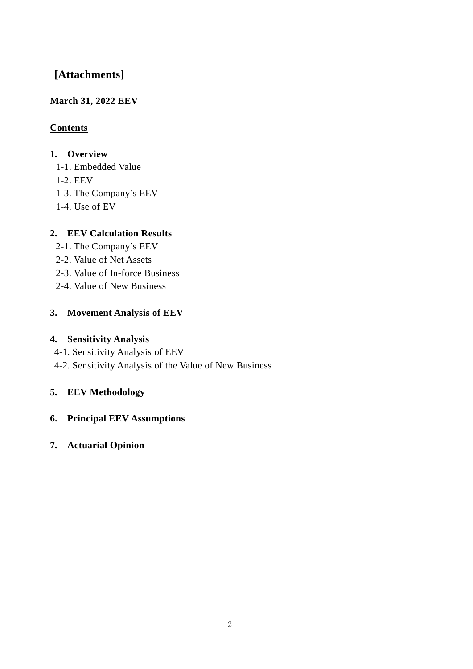# **[Attachments]**

## **March 31, 2022 EEV**

## **Contents**

## **1. Overview**

- 1-1. Embedded Value
- 1-2. EEV
- 1-3. The Company's EEV
- 1-4. Use of EV

## **2. EEV Calculation Results**

- 2-1. The Company's EEV
- 2-2. Value of Net Assets
- 2-3. Value of In-force Business
- 2-4. Value of New Business

## **3. Movement Analysis of EEV**

## **4. Sensitivity Analysis**

- 4-1. Sensitivity Analysis of EEV
- 4-2. Sensitivity Analysis of the Value of New Business

## **5. EEV Methodology**

## **6. Principal EEV Assumptions**

## **7. Actuarial Opinion**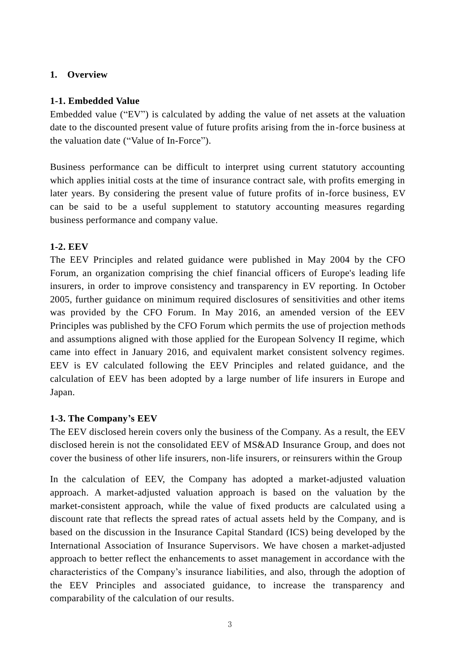### **1. Overview**

### **1-1. Embedded Value**

Embedded value ("EV") is calculated by adding the value of net assets at the valuation date to the discounted present value of future profits arising from the in-force business at the valuation date ("Value of In-Force").

Business performance can be difficult to interpret using current statutory accounting which applies initial costs at the time of insurance contract sale, with profits emerging in later years. By considering the present value of future profits of in-force business, EV can be said to be a useful supplement to statutory accounting measures regarding business performance and company value.

### **1-2. EEV**

The EEV Principles and related guidance were published in May 2004 by the CFO Forum, an organization comprising the chief financial officers of Europe's leading life insurers, in order to improve consistency and transparency in EV reporting. In October 2005, further guidance on minimum required disclosures of sensitivities and other items was provided by the CFO Forum. In May 2016, an amended version of the EEV Principles was published by the CFO Forum which permits the use of projection methods and assumptions aligned with those applied for the European Solvency II regime, which came into effect in January 2016, and equivalent market consistent solvency regimes. EEV is EV calculated following the EEV Principles and related guidance, and the calculation of EEV has been adopted by a large number of life insurers in Europe and Japan.

### **1-3. The Company's EEV**

The EEV disclosed herein covers only the business of the Company. As a result, the EEV disclosed herein is not the consolidated EEV of MS&AD Insurance Group, and does not cover the business of other life insurers, non-life insurers, or reinsurers within the Group

In the calculation of EEV, the Company has adopted a market-adjusted valuation approach. A market-adjusted valuation approach is based on the valuation by the market-consistent approach, while the value of fixed products are calculated using a discount rate that reflects the spread rates of actual assets held by the Company, and is based on the discussion in the Insurance Capital Standard (ICS) being developed by the International Association of Insurance Supervisors. We have chosen a market-adjusted approach to better reflect the enhancements to asset management in accordance with the characteristics of the Company's insurance liabilities, and also, through the adoption of the EEV Principles and associated guidance, to increase the transparency and comparability of the calculation of our results.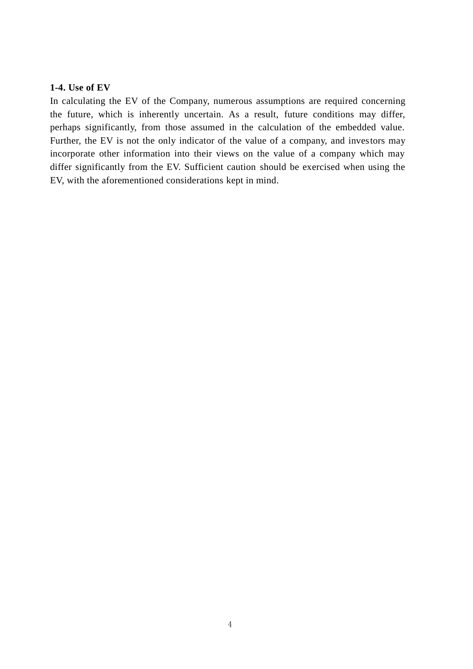#### **1-4. Use of EV**

In calculating the EV of the Company, numerous assumptions are required concerning the future, which is inherently uncertain. As a result, future conditions may differ, perhaps significantly, from those assumed in the calculation of the embedded value. Further, the EV is not the only indicator of the value of a company, and investors may incorporate other information into their views on the value of a company which may differ significantly from the EV. Sufficient caution should be exercised when using the EV, with the aforementioned considerations kept in mind.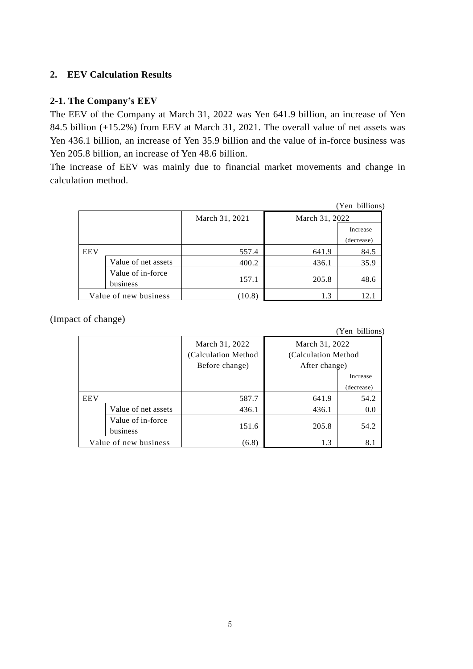### **2. EEV Calculation Results**

#### **2-1. The Company's EEV**

The EEV of the Company at March 31, 2022 was Yen 641.9 billion, an increase of Yen 84.5 billion (+15.2%) from EEV at March 31, 2021. The overall value of net assets was Yen 436.1 billion, an increase of Yen 35.9 billion and the value of in-force business was Yen 205.8 billion, an increase of Yen 48.6 billion.

The increase of EEV was mainly due to financial market movements and change in calculation method.

|            |                               |                |                | (Yen billions) |
|------------|-------------------------------|----------------|----------------|----------------|
|            |                               | March 31, 2021 | March 31, 2022 |                |
|            |                               |                |                | Increase       |
|            |                               |                |                | (decrease)     |
| <b>EEV</b> |                               | 557.4          | 641.9          | 84.5           |
|            | Value of net assets           | 400.2          | 436.1          | 35.9           |
|            | Value of in-force<br>business | 157.1          | 205.8          | 48.6           |
|            | Value of new business         | (10.8)         | 1.3            | 12.            |

(Impact of change)

(Yen billions)

|                       |                               | March 31, 2022<br>(Calculation Method)<br>Before change) | March 31, 2022<br>(Calculation Method<br>After change) |          |
|-----------------------|-------------------------------|----------------------------------------------------------|--------------------------------------------------------|----------|
|                       |                               |                                                          |                                                        | Increase |
|                       |                               |                                                          | (decrease)                                             |          |
| <b>EEV</b>            |                               | 587.7                                                    | 641.9                                                  | 54.2     |
|                       | Value of net assets           | 436.1                                                    | 436.1                                                  | 0.0      |
|                       | Value of in-force<br>business | 151.6                                                    | 205.8                                                  | 54.2     |
| Value of new business |                               | (6.8)                                                    | 1.3                                                    | 8.1      |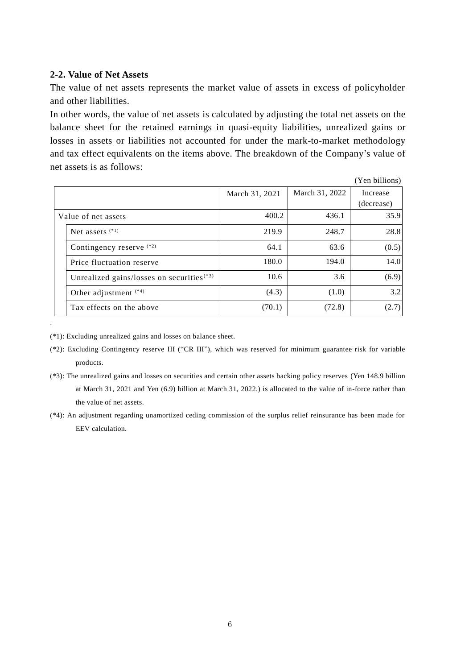#### **2-2. Value of Net Assets**

The value of net assets represents the market value of assets in excess of policyholder and other liabilities.

In other words, the value of net assets is calculated by adjusting the total net assets on the balance sheet for the retained earnings in quasi-equity liabilities, unrealized gains or losses in assets or liabilities not accounted for under the mark-to-market methodology and tax effect equivalents on the items above. The breakdown of the Company's value of net assets is as follows:

|                     |                                             |                |                | (Yen billions) |
|---------------------|---------------------------------------------|----------------|----------------|----------------|
|                     |                                             | March 31, 2021 | March 31, 2022 | Increase       |
|                     |                                             |                |                | (decrease)     |
| Value of net assets |                                             | 400.2          | 436.1          | 35.9           |
|                     | Net assets $(1)$                            | 219.9          | 248.7          | 28.8           |
|                     | Contingency reserve (*2)                    | 64.1           | 63.6           | (0.5)          |
|                     | Price fluctuation reserve                   | 180.0          | 194.0          | 14.0           |
|                     | Unrealized gains/losses on securities $(3)$ | 10.6           | 3.6            | (6.9)          |
|                     | Other adjustment $(4)$                      | (4.3)          | (1.0)          | 3.2            |
|                     | Tax effects on the above                    | (70.1)         | (72.8)         | (2.7)          |

(\*1): Excluding unrealized gains and losses on balance sheet.

.

- (\*3): The unrealized gains and losses on securities and certain other assets backing policy reserves (Yen 148.9 billion at March 31, 2021 and Yen (6.9) billion at March 31, 2022.) is allocated to the value of in-force rather than the value of net assets.
- (\*4): An adjustment regarding unamortized ceding commission of the surplus relief reinsurance has been made for EEV calculation.

<sup>(\*2):</sup> Excluding Contingency reserve III ("CR III"), which was reserved for minimum guarantee risk for variable products.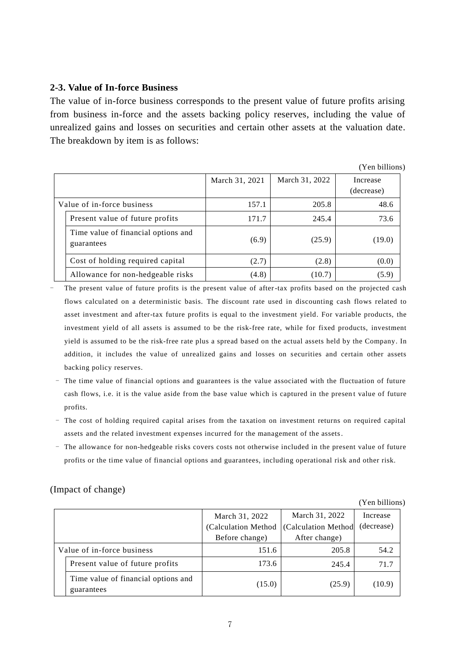#### **2-3. Value of In-force Business**

The value of in-force business corresponds to the present value of future profits arising from business in-force and the assets backing policy reserves, including the value of unrealized gains and losses on securities and certain other assets at the valuation date. The breakdown by item is as follows:

|                            |                                                   |                |                | (Yen billions)         |
|----------------------------|---------------------------------------------------|----------------|----------------|------------------------|
|                            |                                                   | March 31, 2021 | March 31, 2022 | Increase<br>(decrease) |
| Value of in-force business |                                                   | 157.1          | 205.8          | 48.6                   |
|                            | Present value of future profits                   | 171.7          | 245.4          | 73.6                   |
|                            | Time value of financial options and<br>guarantees | (6.9)          | (25.9)         | (19.0)                 |
|                            | Cost of holding required capital                  | (2.7)          | (2.8)          | (0.0)                  |
|                            | Allowance for non-hedgeable risks                 | (4.8)          | (10.7)         | (5.9)                  |

The present value of future profits is the present value of after-tax profits based on the projected cash flows calculated on a deterministic basis. The discount rate used in discounting cash flows related to asset investment and after-tax future profits is equal to the investment yield. For variable products, the investment yield of all assets is assumed to be the risk-free rate, while for fixed products, investment yield is assumed to be the risk-free rate plus a spread based on the actual assets held by the Company. In addition, it includes the value of unrealized gains and losses on securities and certain other assets backing policy reserves.

- The time value of financial options and guarantees is the value associated with the fluctuation of future cash flows, i.e. it is the value aside from the base value which is captured in the present value of future profits.
- The cost of holding required capital arises from the taxation on investment returns on required capital assets and the related investment expenses incurred for the management of the assets.
- The allowance for non-hedgeable risks covers costs not otherwise included in the present value of future profits or the time value of financial options and guarantees, including operational risk and other risk.

#### (Impact of change)

|                            |                                                   |                     |                           | (Yen billions) |
|----------------------------|---------------------------------------------------|---------------------|---------------------------|----------------|
|                            | March 31, 2022<br>March 31, 2022                  |                     | Increase                  |                |
|                            |                                                   | (Calculation Method | <b>Calculation Method</b> | (decrease)     |
|                            |                                                   | Before change)      | After change)             |                |
| Value of in-force business |                                                   | 151.6               | 205.8                     | 54.2           |
|                            | Present value of future profits                   | 173.6               | 245.4                     | 71.7           |
|                            | Time value of financial options and<br>guarantees | (15.0)              | (25.9)                    | (10.9)         |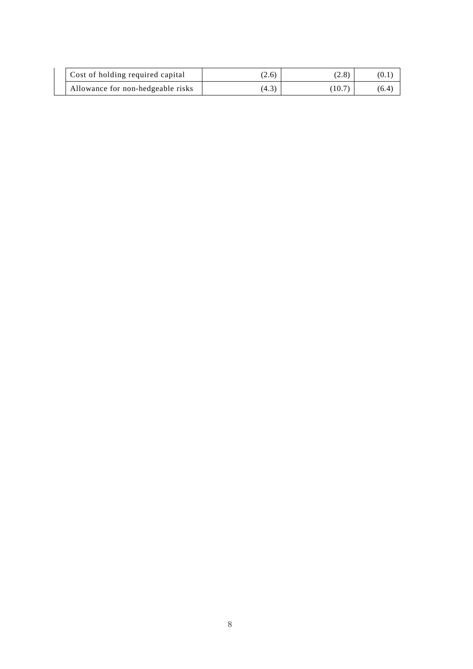| Cost of holding required capital  | (2.6) | (2.8) | U.1   |
|-----------------------------------|-------|-------|-------|
| Allowance for non-hedgeable risks | 14.3  | 10.7  | (6.4) |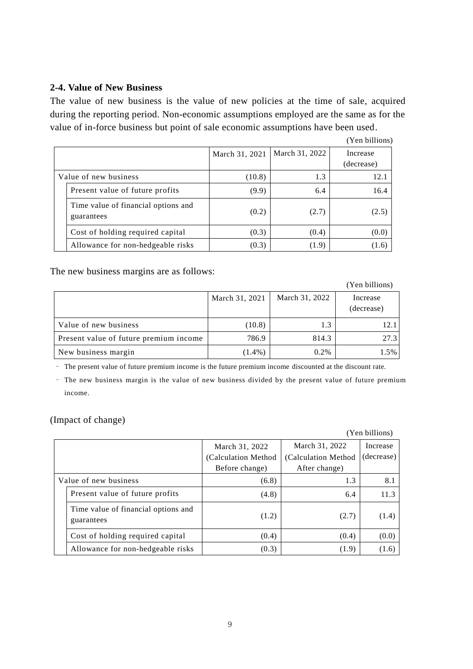#### **2-4. Value of New Business**

The value of new business is the value of new policies at the time of sale, acquired during the reporting period. Non-economic assumptions employed are the same as for the value of in-force business but point of sale economic assumptions have been used.

|                       |                                                   |                |                | (Yen billions)         |
|-----------------------|---------------------------------------------------|----------------|----------------|------------------------|
|                       |                                                   | March 31, 2021 | March 31, 2022 | Increase<br>(decrease) |
| Value of new business |                                                   | (10.8)         | 1.3            | 12.1                   |
|                       | Present value of future profits                   | (9.9)          | 6.4            | 16.4                   |
|                       | Time value of financial options and<br>guarantees | (0.2)          | (2.7)          | (2.5)                  |
|                       | Cost of holding required capital                  | (0.3)          | (0.4)          | (0.0)                  |
|                       | Allowance for non-hedgeable risks                 | (0.3)          | (1.9)          | (1.6)                  |

The new business margins are as follows:

(Yen billions) March 31, 2021 | March 31, 2022 | Increase (decrease) Value of new business  $(10.8)$   $1.3$   $1.3$   $12.1$ Present value of future premium income  $\begin{vmatrix} 786.9 & 814.3 \end{vmatrix}$  814.3 New business margin  $(1.4\%)$   $0.2\%$   $1.5\%$ 

- The present value of future premium income is the future premium income discounted at the discount rate.

- The new business margin is the value of new business divided by the present value of future premium income.

(Impact of change)

(Yen billions)

|                                                   | March 31, 2022      | March 31, 2022       | Increase   |
|---------------------------------------------------|---------------------|----------------------|------------|
|                                                   | (Calculation Method | (Calculation Method) | (decrease) |
|                                                   | Before change)      | After change)        |            |
| Value of new business                             | (6.8)               | 1.3                  | 8.1        |
| Present value of future profits                   | (4.8)               | 6.4                  | 11.3       |
| Time value of financial options and<br>guarantees | (1.2)               | (2.7)                | (1.4)      |
| Cost of holding required capital                  | (0.4)               | (0.4)                | (0.0)      |
| Allowance for non-hedgeable risks                 | (0.3)               | (1.9)                | (1.6)      |

9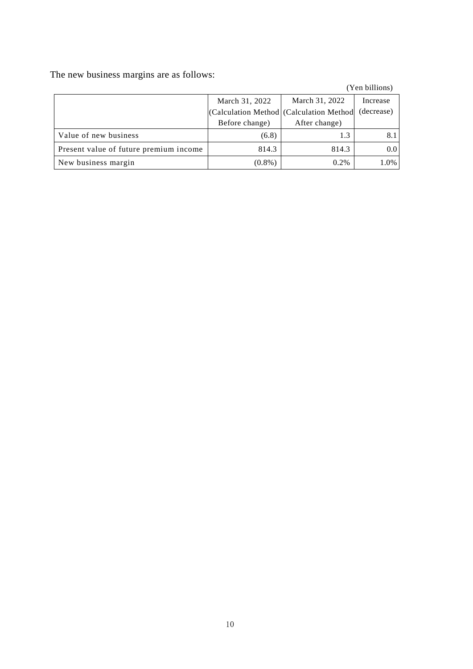The new business margins are as follows:

(Yen billions)

|                                        | March 31, 2022 | March 31, 2022                            | Increase   |
|----------------------------------------|----------------|-------------------------------------------|------------|
|                                        |                | (Calculation Method   (Calculation Method | (decrease) |
|                                        | Before change) | After change)                             |            |
| Value of new business                  | (6.8)          | 1.3                                       |            |
| Present value of future premium income | 814.3          | 814.3                                     | $0.0\,$    |
| New business margin                    | $(0.8\%)$      | 0.2%                                      | 1.0%       |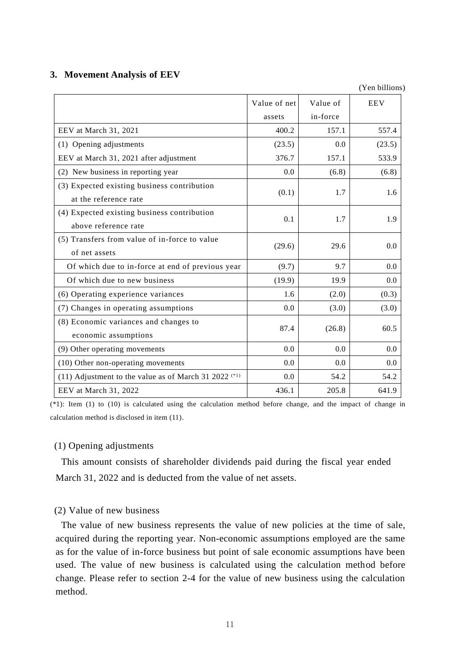#### **3. Movement Analysis of EEV**

(Yen billions)

|                                                                              | Value of net<br>assets | Value of<br>in-force | <b>EEV</b>    |
|------------------------------------------------------------------------------|------------------------|----------------------|---------------|
| EEV at March 31, 2021                                                        | 400.2                  | 157.1                | 557.4         |
| (1) Opening adjustments                                                      | (23.5)                 | 0.0                  | (23.5)        |
| EEV at March 31, 2021 after adjustment                                       | 376.7                  | 157.1                | 533.9         |
| (2) New business in reporting year                                           | 0.0                    | (6.8)                | (6.8)         |
| (3) Expected existing business contribution<br>at the reference rate         | (0.1)                  | 1.7                  | 1.6           |
| (4) Expected existing business contribution<br>above reference rate          | 0.1                    | 1.7                  | 1.9           |
| (5) Transfers from value of in-force to value<br>of net assets               | (29.6)                 | 29.6                 | 0.0           |
| Of which due to in-force at end of previous year                             | (9.7)                  | 9.7                  | 0.0           |
| Of which due to new business                                                 | (19.9)                 | 19.9                 | 0.0           |
| (6) Operating experience variances                                           | 1.6                    | (2.0)                | (0.3)         |
| (7) Changes in operating assumptions                                         | 0.0                    | (3.0)                | (3.0)         |
| (8) Economic variances and changes to<br>economic assumptions                | 87.4                   | (26.8)               | 60.5          |
| (9) Other operating movements                                                | 0.0                    | 0.0                  | $0.0^{\circ}$ |
| (10) Other non-operating movements                                           | 0.0                    | 0.0                  | 0.0           |
| (11) Adjustment to the value as of March 31 2022 <sup><math>(*)</math></sup> | 0.0                    | 54.2                 | 54.2          |
| EEV at March 31, 2022                                                        | 436.1                  | 205.8                | 641.9         |

(\*1): Item (1) to (10) is calculated using the calculation method before change, and the impact of change in calculation method is disclosed in item (11).

#### (1) Opening adjustments

This amount consists of shareholder dividends paid during the fiscal year ended March 31, 2022 and is deducted from the value of net assets.

#### (2) Value of new business

The value of new business represents the value of new policies at the time of sale, acquired during the reporting year. Non-economic assumptions employed are the same as for the value of in-force business but point of sale economic assumptions have been used. The value of new business is calculated using the calculation method before change. Please refer to section 2-4 for the value of new business using the calculation method.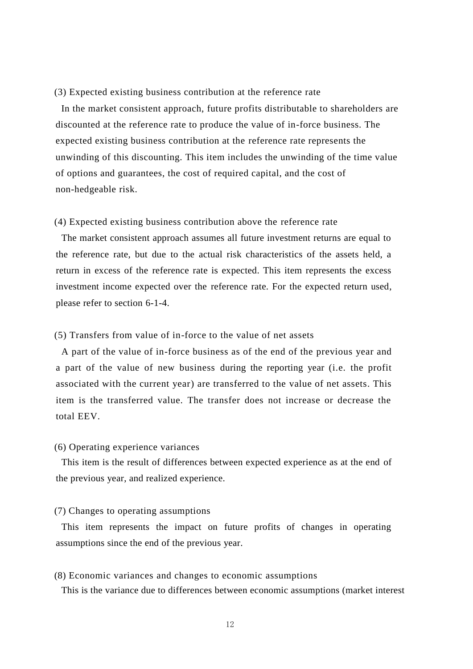#### (3) Expected existing business contribution at the reference rate

In the market consistent approach, future profits distributable to shareholders are discounted at the reference rate to produce the value of in-force business. The expected existing business contribution at the reference rate represents the unwinding of this discounting. This item includes the unwinding of the time value of options and guarantees, the cost of required capital, and the cost of non-hedgeable risk.

#### (4) Expected existing business contribution above the reference rate

The market consistent approach assumes all future investment returns are equal to the reference rate, but due to the actual risk characteristics of the assets held, a return in excess of the reference rate is expected. This item represents the excess investment income expected over the reference rate. For the expected return used, please refer to section 6-1-4.

#### (5) Transfers from value of in-force to the value of net assets

A part of the value of in-force business as of the end of the previous year and a part of the value of new business during the reporting year (i.e. the profit associated with the current year) are transferred to the value of net assets. This item is the transferred value. The transfer does not increase or decrease the total EEV.

#### (6) Operating experience variances

This item is the result of differences between expected experience as at the end of the previous year, and realized experience.

#### (7) Changes to operating assumptions

This item represents the impact on future profits of changes in operating assumptions since the end of the previous year.

#### (8) Economic variances and changes to economic assumptions

This is the variance due to differences between economic assumptions (market interest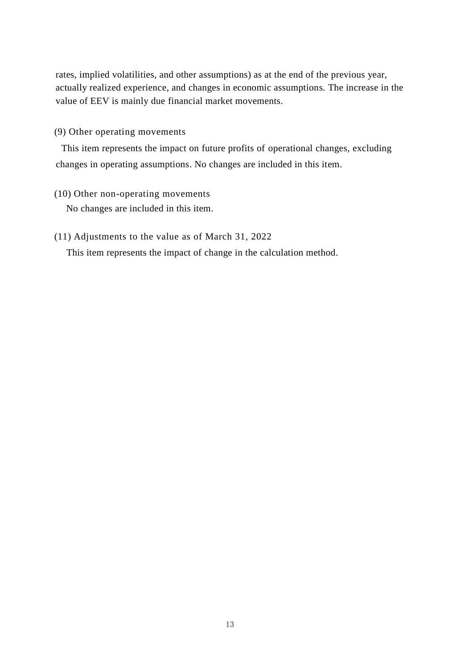rates, implied volatilities, and other assumptions) as at the end of the previous year, actually realized experience, and changes in economic assumptions. The increase in the value of EEV is mainly due financial market movements.

(9) Other operating movements

This item represents the impact on future profits of operational changes, excluding changes in operating assumptions. No changes are included in this item.

- (10) Other non-operating movements No changes are included in this item.
- (11) Adjustments to the value as of March 31, 2022

This item represents the impact of change in the calculation method.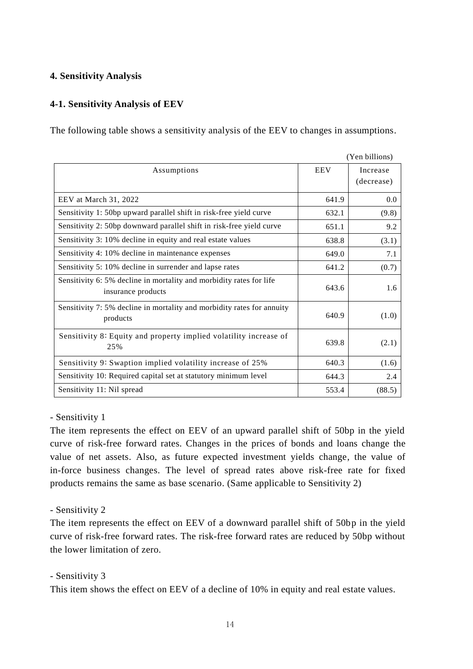### **4. Sensitivity Analysis**

### **4-1. Sensitivity Analysis of EEV**

The following table shows a sensitivity analysis of the EEV to changes in assumptions.

|                                                                                           |            | (Yen billions)         |
|-------------------------------------------------------------------------------------------|------------|------------------------|
| Assumptions                                                                               | <b>EEV</b> | Increase<br>(decrease) |
| EEV at March 31, 2022                                                                     | 641.9      | 0.0                    |
| Sensitivity 1: 50bp upward parallel shift in risk-free yield curve                        | 632.1      | (9.8)                  |
| Sensitivity 2: 50bp downward parallel shift in risk-free yield curve                      | 651.1      | 9.2                    |
| Sensitivity 3: 10% decline in equity and real estate values                               | 638.8      | (3.1)                  |
| Sensitivity 4: 10% decline in maintenance expenses                                        | 649.0      | 7.1                    |
| Sensitivity 5: 10% decline in surrender and lapse rates                                   | 641.2      | (0.7)                  |
| Sensitivity 6: 5% decline in mortality and morbidity rates for life<br>insurance products | 643.6      | 1.6                    |
| Sensitivity 7: 5% decline in mortality and morbidity rates for annuity<br>products        | 640.9      | (1.0)                  |
| Sensitivity 8: Equity and property implied volatility increase of<br>25%                  | 639.8      | (2.1)                  |
| Sensitivity 9: Swaption implied volatility increase of 25%                                | 640.3      | (1.6)                  |
| Sensitivity 10: Required capital set at statutory minimum level                           | 644.3      | 2.4                    |
| Sensitivity 11: Nil spread                                                                | 553.4      | (88.5)                 |

#### - Sensitivity 1

The item represents the effect on EEV of an upward parallel shift of 50bp in the yield curve of risk-free forward rates. Changes in the prices of bonds and loans change the value of net assets. Also, as future expected investment yields change, the value of in-force business changes. The level of spread rates above risk-free rate for fixed products remains the same as base scenario. (Same applicable to Sensitivity 2)

### - Sensitivity 2

The item represents the effect on EEV of a downward parallel shift of 50bp in the yield curve of risk-free forward rates. The risk-free forward rates are reduced by 50bp without the lower limitation of zero.

### - Sensitivity 3

This item shows the effect on EEV of a decline of 10% in equity and real estate values.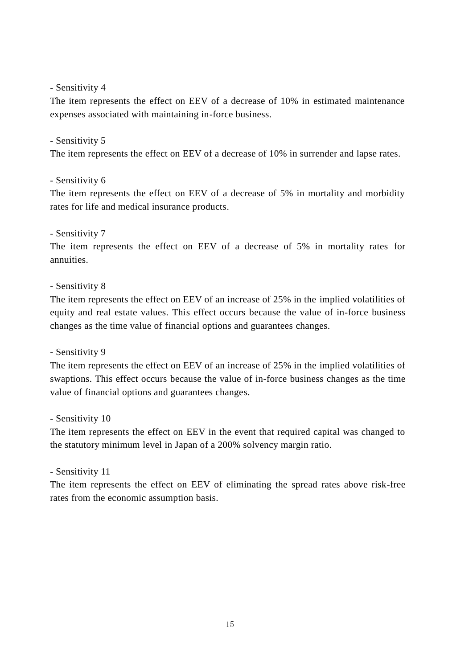#### - Sensitivity 4

The item represents the effect on EEV of a decrease of 10% in estimated maintenance expenses associated with maintaining in-force business.

#### - Sensitivity 5

The item represents the effect on EEV of a decrease of 10% in surrender and lapse rates.

#### - Sensitivity 6

The item represents the effect on EEV of a decrease of 5% in mortality and morbidity rates for life and medical insurance products.

#### - Sensitivity 7

The item represents the effect on EEV of a decrease of 5% in mortality rates for annuities.

#### - Sensitivity 8

The item represents the effect on EEV of an increase of 25% in the implied volatilities of equity and real estate values. This effect occurs because the value of in-force business changes as the time value of financial options and guarantees changes.

#### - Sensitivity 9

The item represents the effect on EEV of an increase of 25% in the implied volatilities of swaptions. This effect occurs because the value of in-force business changes as the time value of financial options and guarantees changes.

#### - Sensitivity 10

The item represents the effect on EEV in the event that required capital was changed to the statutory minimum level in Japan of a 200% solvency margin ratio.

#### - Sensitivity 11

The item represents the effect on EEV of eliminating the spread rates above risk-free rates from the economic assumption basis.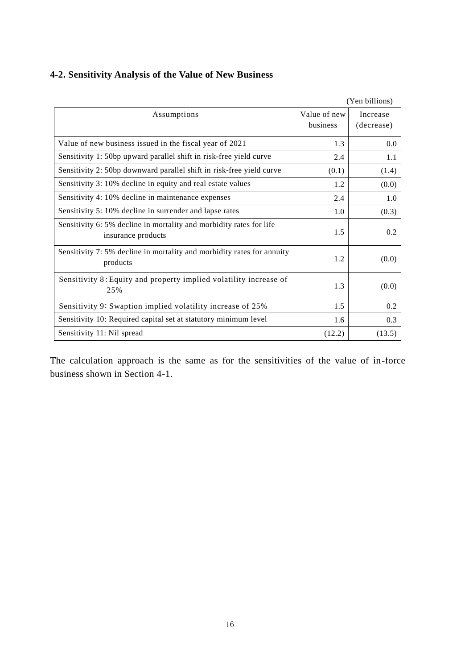## **4-2. Sensitivity Analysis of the Value of New Business**

|                                                                                           |                          | (Yen billions)         |
|-------------------------------------------------------------------------------------------|--------------------------|------------------------|
| Assumptions                                                                               | Value of new<br>business | Increase<br>(decrease) |
| Value of new business issued in the fiscal year of 2021                                   | 1.3                      | 0.0                    |
| Sensitivity 1: 50bp upward parallel shift in risk-free yield curve                        | 2.4                      | 1.1                    |
| Sensitivity 2: 50bp downward parallel shift in risk-free yield curve                      | (0.1)                    | (1.4)                  |
| Sensitivity 3: 10% decline in equity and real estate values                               | 1.2                      | (0.0)                  |
| Sensitivity 4: 10% decline in maintenance expenses                                        | 2.4                      | 1.0                    |
| Sensitivity 5: 10% decline in surrender and lapse rates                                   | 1.0                      | (0.3)                  |
| Sensitivity 6: 5% decline in mortality and morbidity rates for life<br>insurance products | 1.5                      | 0.2                    |
| Sensitivity 7: 5% decline in mortality and morbidity rates for annuity<br>products        | 1.2                      | (0.0)                  |
| Sensitivity 8: Equity and property implied volatility increase of<br>25%                  | 1.3                      | (0.0)                  |
| Sensitivity 9: Swaption implied volatility increase of 25%                                | 1.5                      | 0.2                    |
| Sensitivity 10: Required capital set at statutory minimum level                           | 1.6                      | 0.3                    |
| Sensitivity 11: Nil spread                                                                | (12.2)                   | (13.5)                 |

The calculation approach is the same as for the sensitivities of the value of in-force business shown in Section 4-1.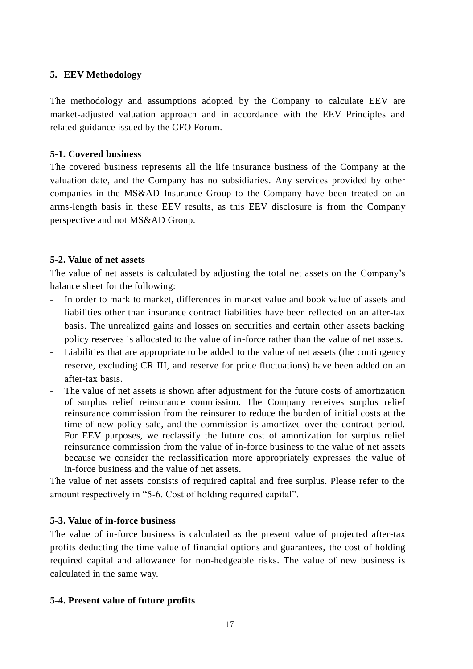### **5. EEV Methodology**

The methodology and assumptions adopted by the Company to calculate EEV are market-adjusted valuation approach and in accordance with the EEV Principles and related guidance issued by the CFO Forum.

### **5-1. Covered business**

The covered business represents all the life insurance business of the Company at the valuation date, and the Company has no subsidiaries. Any services provided by other companies in the MS&AD Insurance Group to the Company have been treated on an arms-length basis in these EEV results, as this EEV disclosure is from the Company perspective and not MS&AD Group.

### **5-2. Value of net assets**

The value of net assets is calculated by adjusting the total net assets on the Company's balance sheet for the following:

- In order to mark to market, differences in market value and book value of assets and liabilities other than insurance contract liabilities have been reflected on an after-tax basis. The unrealized gains and losses on securities and certain other assets backing policy reserves is allocated to the value of in-force rather than the value of net assets.
- Liabilities that are appropriate to be added to the value of net assets (the contingency reserve, excluding CR III, and reserve for price fluctuations) have been added on an after-tax basis.
- The value of net assets is shown after adjustment for the future costs of amortization of surplus relief reinsurance commission. The Company receives surplus relief reinsurance commission from the reinsurer to reduce the burden of initial costs at the time of new policy sale, and the commission is amortized over the contract period. For EEV purposes, we reclassify the future cost of amortization for surplus relief reinsurance commission from the value of in-force business to the value of net assets because we consider the reclassification more appropriately expresses the value of in-force business and the value of net assets.

The value of net assets consists of required capital and free surplus. Please refer to the amount respectively in "5-6. Cost of holding required capital".

## **5-3. Value of in-force business**

The value of in-force business is calculated as the present value of projected after-tax profits deducting the time value of financial options and guarantees, the cost of holding required capital and allowance for non-hedgeable risks. The value of new business is calculated in the same way.

## **5-4. Present value of future profits**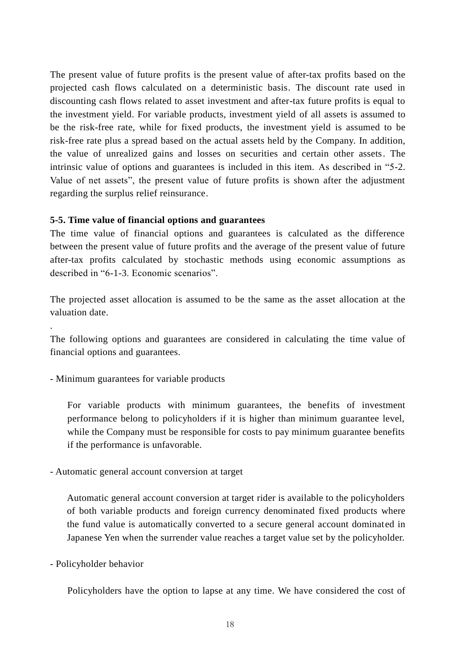The present value of future profits is the present value of after-tax profits based on the projected cash flows calculated on a deterministic basis. The discount rate used in discounting cash flows related to asset investment and after-tax future profits is equal to the investment yield. For variable products, investment yield of all assets is assumed to be the risk-free rate, while for fixed products, the investment yield is assumed to be risk-free rate plus a spread based on the actual assets held by the Company. In addition, the value of unrealized gains and losses on securities and certain other assets. The intrinsic value of options and guarantees is included in this item. As described in "5-2. Value of net assets", the present value of future profits is shown after the adjustment regarding the surplus relief reinsurance.

#### **5-5. Time value of financial options and guarantees**

The time value of financial options and guarantees is calculated as the difference between the present value of future profits and the average of the present value of future after-tax profits calculated by stochastic methods using economic assumptions as described in "6-1-3. Economic scenarios".

The projected asset allocation is assumed to be the same as the asset allocation at the valuation date.

The following options and guarantees are considered in calculating the time value of financial options and guarantees.

- Minimum guarantees for variable products

For variable products with minimum guarantees, the benefits of investment performance belong to policyholders if it is higher than minimum guarantee level, while the Company must be responsible for costs to pay minimum guarantee benefits if the performance is unfavorable.

- Automatic general account conversion at target

Automatic general account conversion at target rider is available to the policyholders of both variable products and foreign currency denominated fixed products where the fund value is automatically converted to a secure general account dominated in Japanese Yen when the surrender value reaches a target value set by the policyholder.

- Policyholder behavior

.

Policyholders have the option to lapse at any time. We have considered the cost of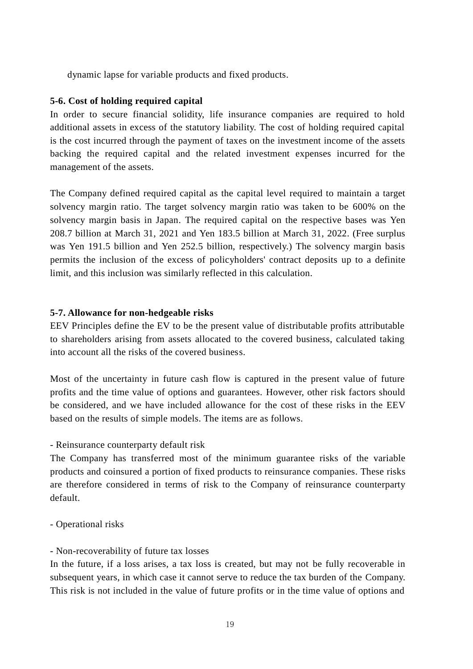dynamic lapse for variable products and fixed products.

#### **5-6. Cost of holding required capital**

In order to secure financial solidity, life insurance companies are required to hold additional assets in excess of the statutory liability. The cost of holding required capital is the cost incurred through the payment of taxes on the investment income of the assets backing the required capital and the related investment expenses incurred for the management of the assets.

The Company defined required capital as the capital level required to maintain a target solvency margin ratio. The target solvency margin ratio was taken to be 600% on the solvency margin basis in Japan. The required capital on the respective bases was Yen 208.7 billion at March 31, 2021 and Yen 183.5 billion at March 31, 2022. (Free surplus was Yen 191.5 billion and Yen 252.5 billion, respectively.) The solvency margin basis permits the inclusion of the excess of policyholders' contract deposits up to a definite limit, and this inclusion was similarly reflected in this calculation.

#### **5-7. Allowance for non-hedgeable risks**

EEV Principles define the EV to be the present value of distributable profits attributable to shareholders arising from assets allocated to the covered business, calculated taking into account all the risks of the covered business.

Most of the uncertainty in future cash flow is captured in the present value of future profits and the time value of options and guarantees. However, other risk factors should be considered, and we have included allowance for the cost of these risks in the EEV based on the results of simple models. The items are as follows.

- Reinsurance counterparty default risk

The Company has transferred most of the minimum guarantee risks of the variable products and coinsured a portion of fixed products to reinsurance companies. These risks are therefore considered in terms of risk to the Company of reinsurance counterparty default.

- Operational risks

#### - Non-recoverability of future tax losses

In the future, if a loss arises, a tax loss is created, but may not be fully recoverable in subsequent years, in which case it cannot serve to reduce the tax burden of the Company. This risk is not included in the value of future profits or in the time value of options and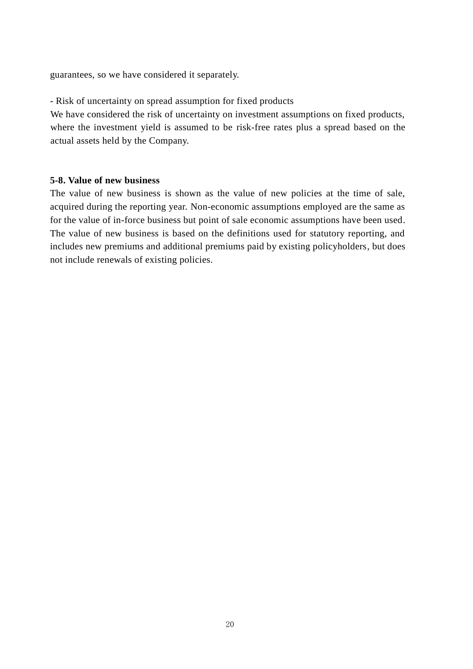guarantees, so we have considered it separately.

- Risk of uncertainty on spread assumption for fixed products

We have considered the risk of uncertainty on investment assumptions on fixed products, where the investment yield is assumed to be risk-free rates plus a spread based on the actual assets held by the Company.

#### **5-8. Value of new business**

The value of new business is shown as the value of new policies at the time of sale, acquired during the reporting year. Non-economic assumptions employed are the same as for the value of in-force business but point of sale economic assumptions have been used. The value of new business is based on the definitions used for statutory reporting, and includes new premiums and additional premiums paid by existing policyholders, but does not include renewals of existing policies.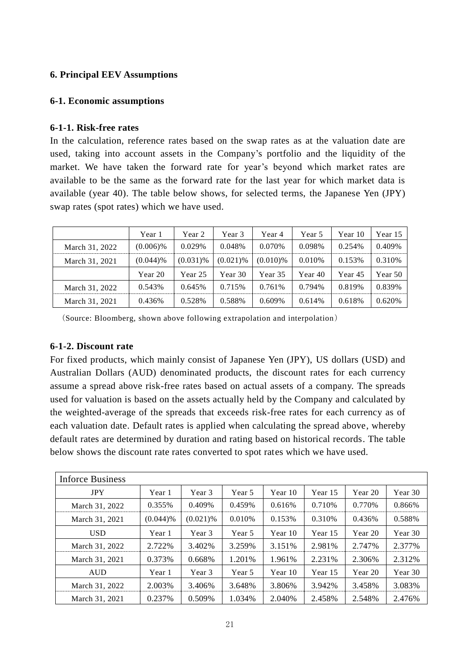### **6. Principal EEV Assumptions**

#### **6-1. Economic assumptions**

#### **6-1-1. Risk-free rates**

In the calculation, reference rates based on the swap rates as at the valuation date are used, taking into account assets in the Company's portfolio and the liquidity of the market. We have taken the forward rate for year's beyond which market rates are available to be the same as the forward rate for the last year for which market data is available (year 40). The table below shows, for selected terms, the Japanese Yen (JPY) swap rates (spot rates) which we have used.

|                | Year 1      | Year 2      | Year 3      | Year 4      | Year 5  | Year 10 | Year 15 |
|----------------|-------------|-------------|-------------|-------------|---------|---------|---------|
| March 31, 2022 | $(0.006)\%$ | $0.029\%$   | 0.048%      | 0.070%      | 0.098%  | 0.254\% | 0.409%  |
| March 31, 2021 | $(0.044)$ % | $(0.031)\%$ | $(0.021)$ % | $(0.010)\%$ | 0.010%  | 0.153%  | 0.310\% |
|                | Year 20     | Year 25     | Year 30     | Year 35     | Year 40 | Year 45 | Year 50 |
| March 31, 2022 | 0.543%      | 0.645%      | 0.715\%     | 0.761%      | 0.794%  | 0.819%  | 0.839%  |
| March 31, 2021 | $0.436\%$   | 0.528%      | 0.588%      | $0.609\%$   | 0.614%  | 0.618%  | 0.620%  |

(Source: Bloomberg, shown above following extrapolation and interpolation)

### **6-1-2. Discount rate**

For fixed products, which mainly consist of Japanese Yen (JPY), US dollars (USD) and Australian Dollars (AUD) denominated products, the discount rates for each currency assume a spread above risk-free rates based on actual assets of a company. The spreads used for valuation is based on the assets actually held by the Company and calculated by the weighted-average of the spreads that exceeds risk-free rates for each currency as of each valuation date. Default rates is applied when calculating the spread above, whereby default rates are determined by duration and rating based on historical records. The table below shows the discount rate rates converted to spot rates which we have used.

| <b>Inforce Business</b> |             |             |           |         |         |         |         |
|-------------------------|-------------|-------------|-----------|---------|---------|---------|---------|
| <b>JPY</b>              | Year 1      | Year 3      | Year 5    | Year 10 | Year 15 | Year 20 | Year 30 |
| March 31, 2022          | 0.355%      | 0.409%      | 0.459%    | 0.616%  | 0.710\% | 0.770\% | 0.866%  |
| March 31, 2021          | $(0.044)$ % | $(0.021)\%$ | $0.010\%$ | 0.153%  | 0.310\% | 0.436%  | 0.588%  |
| <b>USD</b>              | Year 1      | Year 3      | Year 5    | Year 10 | Year 15 | Year 20 | Year 30 |
| March 31, 2022          | 2.722%      | 3.402%      | 3.259%    | 3.151%  | 2.981%  | 2.747%  | 2.377%  |
| March 31, 2021          | 0.373%      | $0.668\%$   | 1.201%    | 1.961%  | 2.231\% | 2.306%  | 2.312%  |
| <b>AUD</b>              | Year 1      | Year 3      | Year 5    | Year 10 | Year 15 | Year 20 | Year 30 |
| March 31, 2022          | 2.003%      | 3.406%      | 3.648%    | 3.806%  | 3.942%  | 3.458%  | 3.083%  |
| March 31, 2021          | 0.237%      | 0.509%      | 1.034%    | 2.040%  | 2.458%  | 2.548%  | 2.476%  |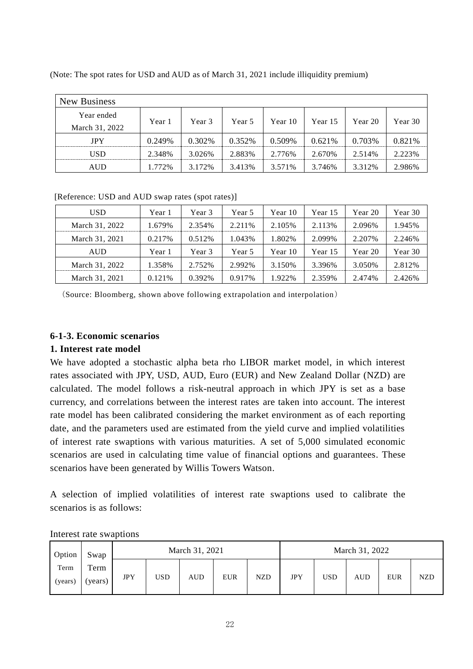| New Business   |        |         |         |         |         |         |         |  |
|----------------|--------|---------|---------|---------|---------|---------|---------|--|
| Year ended     |        |         |         |         |         |         |         |  |
| March 31, 2022 | Year 1 | Year 3  | Year 5  | Year 10 | Year 15 | Year 20 | Year 30 |  |
| <b>JPY</b>     | 0.249% | 0.302\% | 0.352\% | 0.509%  | 0.621\% | 0.703%  | 0.821%  |  |
| USD            | 2.348% | 3.026%  | 2.883%  | 2.776%  | 2.670%  | 2.514%  | 2.223%  |  |
| <b>AUD</b>     | 1.772% | 3.172%  | 3.413%  | 3.571%  | 3.746%  | 3.312%  | 2.986%  |  |

(Note: The spot rates for USD and AUD as of March 31, 2021 include illiquidity premium)

[Reference: USD and AUD swap rates (spot rates)]

| USD            | Year 1  | Year 3  | Year 5  | Year 10 | Year 15 | Year 20 | Year 30 |
|----------------|---------|---------|---------|---------|---------|---------|---------|
| March 31, 2022 | 1.679%  | 2.354%  | 2.211\% | 2.105%  | 2.113%  | 2.096%  | 1.945%  |
| March 31, 2021 | 0.217\% | 0.512\% | 1.043%  | 1.802\% | 2.099%  | 2.207%  | 2.246%  |
| <b>AUD</b>     | Year 1  | Year 3  | Year 5  | Year 10 | Year 15 | Year 20 | Year 30 |
| March 31, 2022 | 1.358%  | 2.752%  | 2.992%  | 3.150\% | 3.396%  | 3.050\% | 2.812%  |
| March 31, 2021 | 0.121%  | 0.392%  | 0.917%  | 1.922%  | 2.359%  | 2.474%  | 2.426%  |

(Source: Bloomberg, shown above following extrapolation and interpolation)

### **6-1-3. Economic scenarios**

#### **1. Interest rate model**

We have adopted a stochastic alpha beta rho LIBOR market model, in which interest rates associated with JPY, USD, AUD, Euro (EUR) and New Zealand Dollar (NZD) are calculated. The model follows a risk-neutral approach in which JPY is set as a base currency, and correlations between the interest rates are taken into account. The interest rate model has been calibrated considering the market environment as of each reporting date, and the parameters used are estimated from the yield curve and implied volatilities of interest rate swaptions with various maturities. A set of 5,000 simulated economic scenarios are used in calculating time value of financial options and guarantees. These scenarios have been generated by Willis Towers Watson.

A selection of implied volatilities of interest rate swaptions used to calibrate the scenarios is as follows:

| Option          | Swap            |            |     | March 31, 2021 |            |            |            | March 31, 2022 |            |            |     |
|-----------------|-----------------|------------|-----|----------------|------------|------------|------------|----------------|------------|------------|-----|
| Term<br>(years) | Term<br>(years) | <b>JPY</b> | USD | <b>AUD</b>     | <b>EUR</b> | <b>NZD</b> | <b>JPY</b> | <b>USD</b>     | <b>AUD</b> | <b>EUR</b> | NZD |

Interest rate swaptions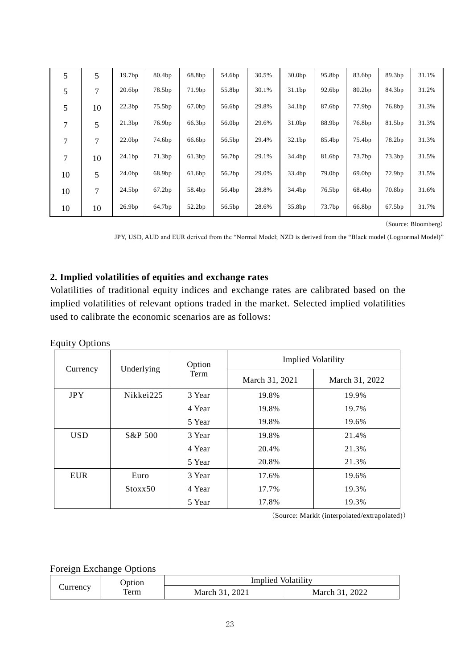| 5  | 5  | 19.7bp             | 80.4bp | 68.8bp | 54.6bp | 30.5% | 30.0bp | 95.8bp             | 83.6bp | 89.3bp | 31.1% |
|----|----|--------------------|--------|--------|--------|-------|--------|--------------------|--------|--------|-------|
| 5  | 7  | 20.6bp             | 78.5bp | 71.9bp | 55.8bp | 30.1% | 31.1bp | 92.6bp             | 80.2bp | 84.3bp | 31.2% |
| 5  | 10 | 22.3bp             | 75.5bp | 67.0bp | 56.6bp | 29.8% | 34.1bp | 87.6bp             | 77.9bp | 76.8bp | 31.3% |
| 7  | 5  | 21.3bp             | 76.9bp | 66.3bp | 56.0bp | 29.6% | 31.0bp | 88.9bp             | 76.8bp | 81.5bp | 31.3% |
| 7  | 7  | 22.0 <sub>bp</sub> | 74.6bp | 66.6bp | 56.5bp | 29.4% | 32.1bp | 85.4bp             | 75.4bp | 78.2bp | 31.3% |
| 7  | 10 | 24.1bp             | 71.3bp | 61.3bp | 56.7bp | 29.1% | 34.4bp | 81.6bp             | 73.7bp | 73.3bp | 31.5% |
| 10 | 5  | 24.0bp             | 68.9bp | 61.6bp | 56.2bp | 29.0% | 33.4bp | 79.0 <sub>bp</sub> | 69.0bp | 72.9bp | 31.5% |
| 10 | 7  | 24.5bp             | 67.2bp | 58.4bp | 56.4bp | 28.8% | 34.4bp | 76.5bp             | 68.4bp | 70.8bp | 31.6% |
| 10 | 10 | 26.9bp             | 64.7bp | 52.2bp | 56.5bp | 28.6% | 35.8bp | 73.7bp             | 66.8bp | 67.5bp | 31.7% |

(Source: Bloomberg)

JPY, USD, AUD and EUR derived from the "Normal Model; NZD is derived from the "Black model (Lognormal Model)"

## **2. Implied volatilities of equities and exchange rates**

Volatilities of traditional equity indices and exchange rates are calibrated based on the implied volatilities of relevant options traded in the market. Selected implied volatilities used to calibrate the economic scenarios are as follows:

#### Equity Options

|            |            | Option | <b>Implied Volatility</b> |                |  |  |  |
|------------|------------|--------|---------------------------|----------------|--|--|--|
| Currency   | Underlying | Term   | March 31, 2021            | March 31, 2022 |  |  |  |
| <b>JPY</b> | Nikkei225  | 3 Year | 19.8%                     | 19.9%          |  |  |  |
|            |            | 4 Year | 19.8%                     | 19.7%          |  |  |  |
|            |            | 5 Year | 19.8%                     | 19.6%          |  |  |  |
| <b>USD</b> | S&P 500    | 3 Year | 19.8%                     | 21.4%          |  |  |  |
|            |            | 4 Year | 20.4%                     | 21.3%          |  |  |  |
|            |            | 5 Year | 20.8%                     | 21.3%          |  |  |  |
| <b>EUR</b> | Euro       | 3 Year | 17.6%                     | 19.6%          |  |  |  |
|            | Stoxx50    | 4 Year | 17.7%                     | 19.3%          |  |  |  |
|            |            | 5 Year | 17.8%                     | 19.3%          |  |  |  |

(Source: Markit (interpolated/extrapolated))

#### Foreign Exchange Options

|                | Jption.<br>term | Implied Volatility |                  |  |  |  |
|----------------|-----------------|--------------------|------------------|--|--|--|
| $\cup$ urrency |                 | 2021<br>March 31   | 2022<br>March 31 |  |  |  |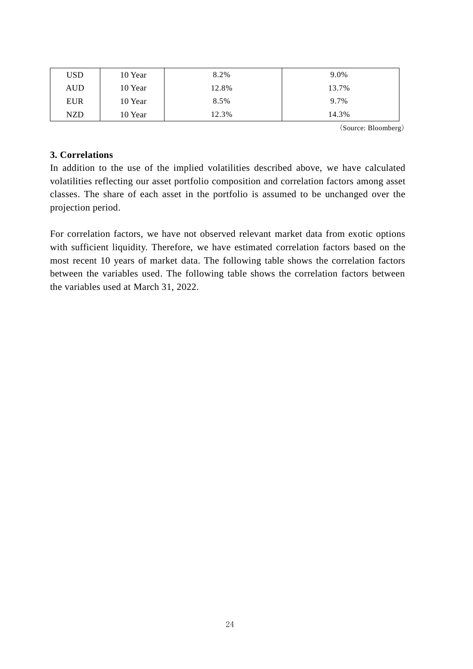| USD        | 8.2%<br>10 Year |       | 9.0%  |
|------------|-----------------|-------|-------|
| AUD        | 10 Year         | 12.8% | 13.7% |
| <b>EUR</b> | 10 Year         | 8.5%  | 9.7%  |
| NZD        | 10 Year         | 12.3% | 14.3% |

(Source: Bloomberg)

#### **3. Correlations**

In addition to the use of the implied volatilities described above, we have calculated volatilities reflecting our asset portfolio composition and correlation factors among asset classes. The share of each asset in the portfolio is assumed to be unchanged over the projection period.

For correlation factors, we have not observed relevant market data from exotic options with sufficient liquidity. Therefore, we have estimated correlation factors based on the most recent 10 years of market data. The following table shows the correlation factors between the variables used. The following table shows the correlation factors between the variables used at March 31, 2022.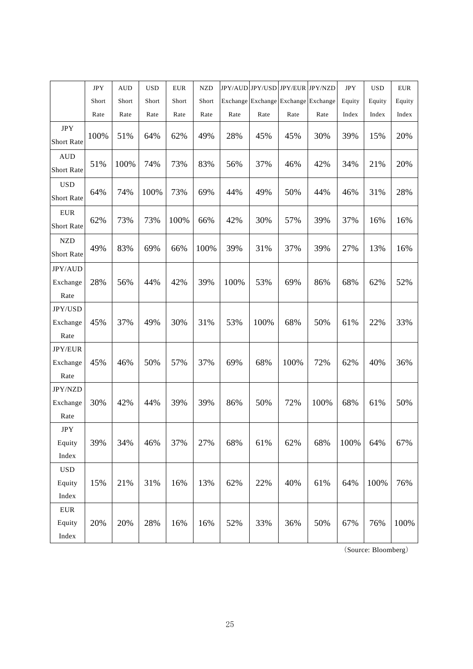|                             | <b>JPY</b> | <b>AUD</b> | <b>USD</b> | <b>EUR</b> | <b>NZD</b> |      | JPY/AUD JPY/USD JPY/EUR JPY/NZD     |      |      | <b>JPY</b> | <b>USD</b> | <b>EUR</b> |
|-----------------------------|------------|------------|------------|------------|------------|------|-------------------------------------|------|------|------------|------------|------------|
|                             | Short      | Short      | Short      | Short      | Short      |      | Exchange Exchange Exchange Exchange |      |      | Equity     | Equity     | Equity     |
|                             | Rate       | Rate       | Rate       | Rate       | Rate       | Rate | Rate                                | Rate | Rate | Index      | Index      | Index      |
| $_{\mathrm{JPY}}$           | 100%       |            | 64%        | 62%        | 49%        | 28%  | 45%                                 | 45%  | 30%  | 39%        |            | 20%        |
| <b>Short Rate</b>           |            | 51%        |            |            |            |      |                                     |      |      |            | 15%        |            |
| $\hbox{AUD}$<br>Short Rate  | 51%        | 100%       | 74%        | 73%        | 83%        | 56%  | 37%                                 | 46%  | 42%  | 34%        | 21%        | 20%        |
|                             |            |            |            |            |            |      |                                     |      |      |            |            |            |
| <b>USD</b><br>Short Rate    | 64%        | 74%        | 100%       | 73%        | 69%        | 44%  | 49%                                 | 50%  | 44%  | 46%        | 31%        | 28%        |
| ${\rm EUR}$                 |            |            |            |            |            |      |                                     |      |      |            |            |            |
| <b>Short Rate</b>           | 62%        | 73%        | 73%        | 100%       | 66%        | 42%  | 30%                                 | 57%  | 39%  | 37%        | 16%        | 16%        |
| $\ensuremath{\mathsf{NZD}}$ |            |            |            |            |            |      |                                     |      |      |            |            |            |
| Short Rate                  | 49%        | 83%        | 69%        | 66%        | 100%       | 39%  | 31%                                 | 37%  | 39%  | 27%        | 13%        | 16%        |
| JPY/AUD                     |            |            |            |            |            |      |                                     |      |      |            |            |            |
| Exchange                    | 28%        | 56%        | 44%        | 42%        | 39%        | 100% | 53%                                 | 69%  | 86%  | 68%        | 62%        | 52%        |
| Rate                        |            |            |            |            |            |      |                                     |      |      |            |            |            |
| JPY/USD                     |            |            |            |            |            |      |                                     |      |      |            |            |            |
| Exchange                    | 45%        | 37%        | 49%        | 30%        | 31%        | 53%  | 100%                                | 68%  | 50%  | 61%        | 22%        | 33%        |
| Rate                        |            |            |            |            |            |      |                                     |      |      |            |            |            |
| JPY/EUR                     |            |            |            |            |            |      |                                     |      |      |            |            |            |
| Exchange                    | 45%        | 46%        | 50%        | 57%        | 37%        | 69%  | 68%                                 | 100% | 72%  | 62%        | 40%        | 36%        |
| Rate                        |            |            |            |            |            |      |                                     |      |      |            |            |            |
| JPY/NZD                     |            |            |            |            |            |      |                                     |      |      |            |            |            |
| Exchange                    | 30%        | 42%        | 44%        | 39%        | 39%        | 86%  | 50%                                 | 72%  | 100% | 68%        | 61%        | 50%        |
| Rate                        |            |            |            |            |            |      |                                     |      |      |            |            |            |
| $_{\mathrm{JPY}}$<br>Equity | 39%        | 34%        | 46%        | 37%        | 27%        | 68%  | 61%                                 | 62%  | 68%  | 100%       | 64%        | 67%        |
| Index                       |            |            |            |            |            |      |                                     |      |      |            |            |            |
| $_{\rm USD}$                |            |            |            |            |            |      |                                     |      |      |            |            |            |
| Equity                      | 15%        | 21%        | 31%        | 16%        | 13%        | 62%  | 22%                                 | 40%  | 61%  | 64%        | 100%       | 76%        |
| Index                       |            |            |            |            |            |      |                                     |      |      |            |            |            |
| ${\rm EUR}$                 |            |            |            |            |            |      |                                     |      |      |            |            |            |
| Equity                      | 20%        | 20%        | 28%        | 16%        | 16%        | 52%  | 33%                                 | 36%  | 50%  | 67%        | 76%        | 100%       |
| Index                       |            |            |            |            |            |      |                                     |      |      |            |            |            |

(Source: Bloomberg)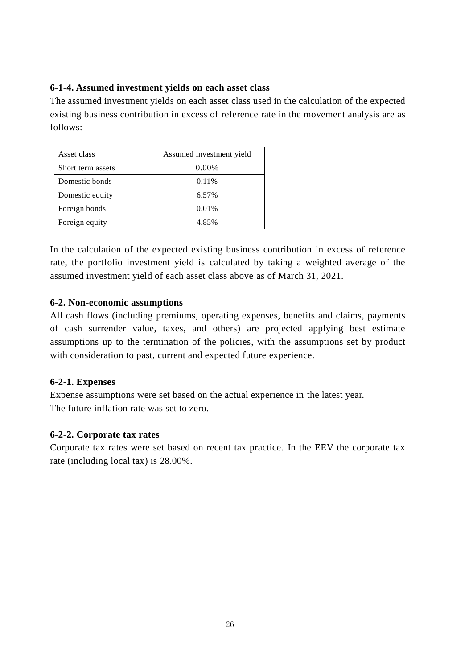### **6-1-4. Assumed investment yields on each asset class**

The assumed investment yields on each asset class used in the calculation of the expected existing business contribution in excess of reference rate in the movement analysis are as follows:

| Asset class       | Assumed investment yield |
|-------------------|--------------------------|
| Short term assets | 0.00%                    |
| Domestic bonds    | 0.11%                    |
| Domestic equity   | 6.57%                    |
| Foreign bonds     | 0.01%                    |
| Foreign equity    | 4.85%                    |

In the calculation of the expected existing business contribution in excess of reference rate, the portfolio investment yield is calculated by taking a weighted average of the assumed investment yield of each asset class above as of March 31, 2021.

### **6-2. Non-economic assumptions**

All cash flows (including premiums, operating expenses, benefits and claims, payments of cash surrender value, taxes, and others) are projected applying best estimate assumptions up to the termination of the policies, with the assumptions set by product with consideration to past, current and expected future experience.

## **6-2-1. Expenses**

Expense assumptions were set based on the actual experience in the latest year. The future inflation rate was set to zero.

### **6-2-2. Corporate tax rates**

Corporate tax rates were set based on recent tax practice. In the EEV the corporate tax rate (including local tax) is 28.00%.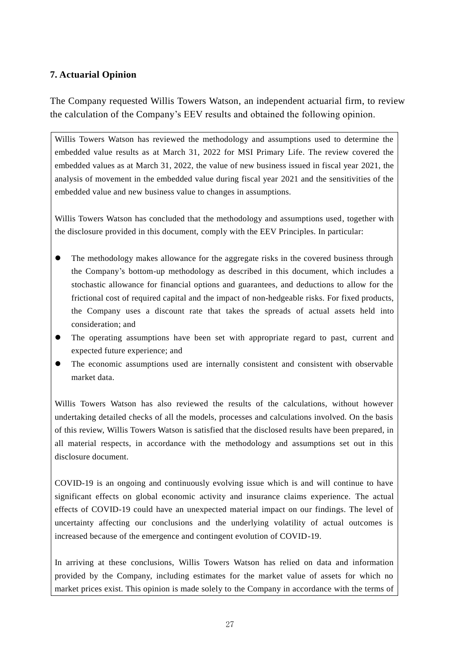### **7. Actuarial Opinion**

The Company requested Willis Towers Watson, an independent actuarial firm, to review the calculation of the Company's EEV results and obtained the following opinion.

Willis Towers Watson has reviewed the methodology and assumptions used to determine the embedded value results as at March 31, 2022 for MSI Primary Life. The review covered the embedded values as at March 31, 2022, the value of new business issued in fiscal year 2021, the analysis of movement in the embedded value during fiscal year 2021 and the sensitivities of the embedded value and new business value to changes in assumptions.

Willis Towers Watson has concluded that the methodology and assumptions used, together with the disclosure provided in this document, comply with the EEV Principles. In particular:

- The methodology makes allowance for the aggregate risks in the covered business through the Company's bottom-up methodology as described in this document, which includes a stochastic allowance for financial options and guarantees, and deductions to allow for the frictional cost of required capital and the impact of non-hedgeable risks. For fixed products, the Company uses a discount rate that takes the spreads of actual assets held into consideration; and
- The operating assumptions have been set with appropriate regard to past, current and expected future experience; and
- The economic assumptions used are internally consistent and consistent with observable market data.

Willis Towers Watson has also reviewed the results of the calculations, without however undertaking detailed checks of all the models, processes and calculations involved. On the basis of this review, Willis Towers Watson is satisfied that the disclosed results have been prepared, in all material respects, in accordance with the methodology and assumptions set out in this disclosure document.

COVID-19 is an ongoing and continuously evolving issue which is and will continue to have significant effects on global economic activity and insurance claims experience. The actual effects of COVID-19 could have an unexpected material impact on our findings. The level of uncertainty affecting our conclusions and the underlying volatility of actual outcomes is increased because of the emergence and contingent evolution of COVID-19.

In arriving at these conclusions, Willis Towers Watson has relied on data and information provided by the Company, including estimates for the market value of assets for which no market prices exist. This opinion is made solely to the Company in accordance with the terms of